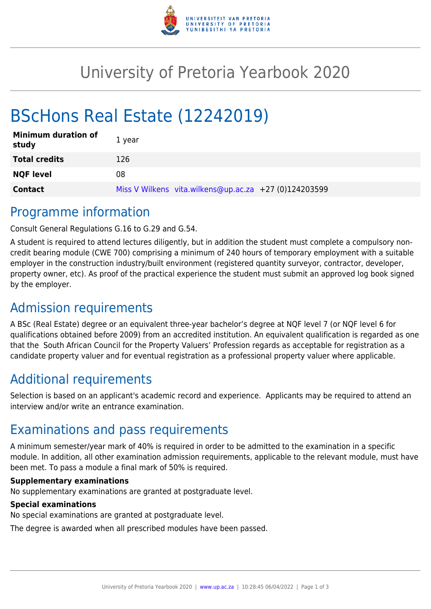

## University of Pretoria Yearbook 2020

# BScHons Real Estate (12242019)

| <b>Minimum duration of</b><br>study | 1 year                                                |
|-------------------------------------|-------------------------------------------------------|
| <b>Total credits</b>                | 126                                                   |
| <b>NQF level</b>                    | 08                                                    |
| <b>Contact</b>                      | Miss V Wilkens vita.wilkens@up.ac.za +27 (0)124203599 |

### Programme information

Consult General Regulations G.16 to G.29 and G.54.

A student is required to attend lectures diligently, but in addition the student must complete a compulsory noncredit bearing module (CWE 700) comprising a minimum of 240 hours of temporary employment with a suitable employer in the construction industry/built environment (registered quantity surveyor, contractor, developer, property owner, etc). As proof of the practical experience the student must submit an approved log book signed by the employer.

## Admission requirements

A BSc (Real Estate) degree or an equivalent three-year bachelor's degree at NQF level 7 (or NQF level 6 for qualifications obtained before 2009) from an accredited institution. An equivalent qualification is regarded as one that the South African Council for the Property Valuers' Profession regards as acceptable for registration as a candidate property valuer and for eventual registration as a professional property valuer where applicable.

## Additional requirements

Selection is based on an applicant's academic record and experience. Applicants may be required to attend an interview and/or write an entrance examination.

### Examinations and pass requirements

A minimum semester/year mark of 40% is required in order to be admitted to the examination in a specific module. In addition, all other examination admission requirements, applicable to the relevant module, must have been met. To pass a module a final mark of 50% is required.

#### **Supplementary examinations**

No supplementary examinations are granted at postgraduate level.

#### **Special examinations**

No special examinations are granted at postgraduate level.

The degree is awarded when all prescribed modules have been passed.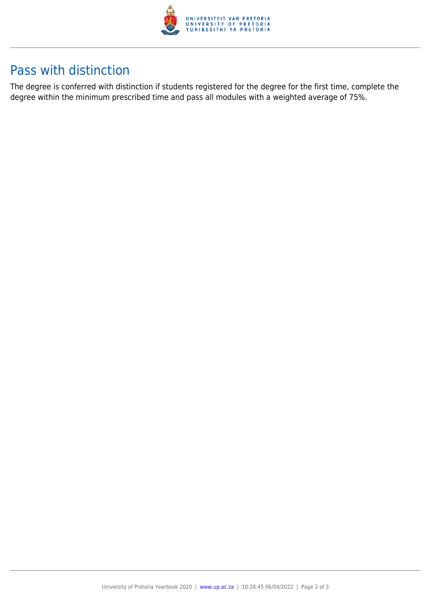

## Pass with distinction

The degree is conferred with distinction if students registered for the degree for the first time, complete the degree within the minimum prescribed time and pass all modules with a weighted average of 75%.